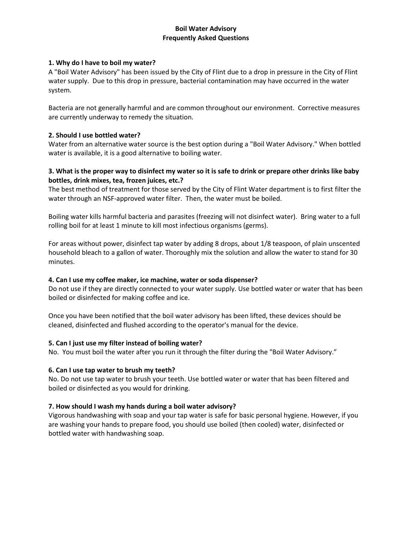## **Boil Water Advisory Frequently Asked Questions**

#### **1. Why do I have to boil my water?**

A "Boil Water Advisory" has been issued by the City of Flint due to a drop in pressure in the City of Flint water supply. Due to this drop in pressure, bacterial contamination may have occurred in the water system.

Bacteria are not generally harmful and are common throughout our environment. Corrective measures are currently underway to remedy the situation.

## **2. Should I use bottled water?**

Water from an alternative water source is the best option during a "Boil Water Advisory." When bottled water is available, it is a good alternative to boiling water.

## **3. What is the proper way to disinfect my water so it is safe to drink or prepare other drinks like baby bottles, drink mixes, tea, frozen juices, etc.?**

The best method of treatment for those served by the City of Flint Water department is to first filter the water through an NSF-approved water filter. Then, the water must be boiled.

Boiling water kills harmful bacteria and parasites (freezing will not disinfect water). Bring water to a full rolling boil for at least 1 minute to kill most infectious organisms (germs).

For areas without power, disinfect tap water by adding 8 drops, about 1/8 teaspoon, of plain unscented household bleach to a gallon of water. Thoroughly mix the solution and allow the water to stand for 30 minutes.

# **4. Can I use my coffee maker, ice machine, water or soda dispenser?**

Do not use if they are directly connected to your water supply. Use bottled water or water that has been boiled or disinfected for making coffee and ice.

Once you have been notified that the boil water advisory has been lifted, these devices should be cleaned, disinfected and flushed according to the operator's manual for the device.

# **5. Can I just use my filter instead of boiling water?**

No. You must boil the water after you run it through the filter during the "Boil Water Advisory."

#### **6. Can I use tap water to brush my teeth?**

No. Do not use tap water to brush your teeth. Use bottled water or water that has been filtered and boiled or disinfected as you would for drinking.

#### **7. How should I wash my hands during a boil water advisory?**

Vigorous handwashing with soap and your tap water is safe for basic personal hygiene. However, if you are washing your hands to prepare food, you should use boiled (then cooled) water, disinfected or bottled water with handwashing soap.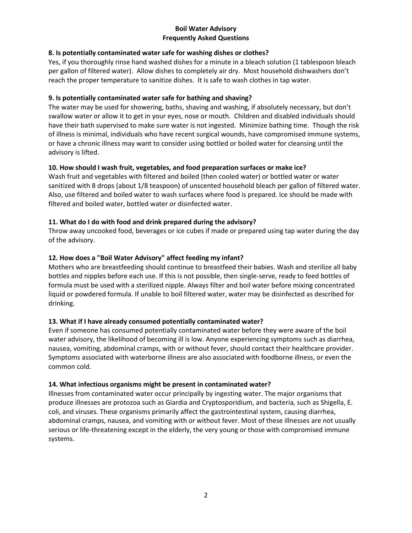# **Boil Water Advisory Frequently Asked Questions**

## **8. Is potentially contaminated water safe for washing dishes or clothes?**

Yes, if you thoroughly rinse hand washed dishes for a minute in a bleach solution (1 tablespoon bleach per gallon of filtered water). Allow dishes to completely air dry. Most household dishwashers don't reach the proper temperature to sanitize dishes. It is safe to wash clothes in tap water.

## **9. Is potentially contaminated water safe for bathing and shaving?**

The water may be used for showering, baths, shaving and washing, if absolutely necessary, but don't swallow water or allow it to get in your eyes, nose or mouth. Children and disabled individuals should have their bath supervised to make sure water is not ingested. Minimize bathing time. Though the risk of illness is minimal, individuals who have recent surgical wounds, have compromised immune systems, or have a chronic illness may want to consider using bottled or boiled water for cleansing until the advisory is lifted.

## **10. How should I wash fruit, vegetables, and food preparation surfaces or make ice?**

Wash fruit and vegetables with filtered and boiled (then cooled water) or bottled water or water sanitized with 8 drops (about 1/8 teaspoon) of unscented household bleach per gallon of filtered water. Also, use filtered and boiled water to wash surfaces where food is prepared. Ice should be made with filtered and boiled water, bottled water or disinfected water.

## **11. What do I do with food and drink prepared during the advisory?**

Throw away uncooked food, beverages or ice cubes if made or prepared using tap water during the day of the advisory.

## **12. How does a "Boil Water Advisory" affect feeding my infant?**

Mothers who are breastfeeding should continue to breastfeed their babies. Wash and sterilize all baby bottles and nipples before each use. If this is not possible, then single-serve, ready to feed bottles of formula must be used with a sterilized nipple. Always filter and boil water before mixing concentrated liquid or powdered formula. If unable to boil filtered water, water may be disinfected as described for drinking.

# **13. What if I have already consumed potentially contaminated water?**

Even if someone has consumed potentially contaminated water before they were aware of the boil water advisory, the likelihood of becoming ill is low. Anyone experiencing symptoms such as diarrhea, nausea, vomiting, abdominal cramps, with or without fever, should contact their healthcare provider. Symptoms associated with waterborne illness are also associated with foodborne illness, or even the common cold.

#### **14. What infectious organisms might be present in contaminated water?**

Illnesses from contaminated water occur principally by ingesting water. The major organisms that produce illnesses are protozoa such as Giardia and Cryptosporidium, and bacteria, such as Shigella, E. coli, and viruses. These organisms primarily affect the gastrointestinal system, causing diarrhea, abdominal cramps, nausea, and vomiting with or without fever. Most of these illnesses are not usually serious or life-threatening except in the elderly, the very young or those with compromised immune systems.